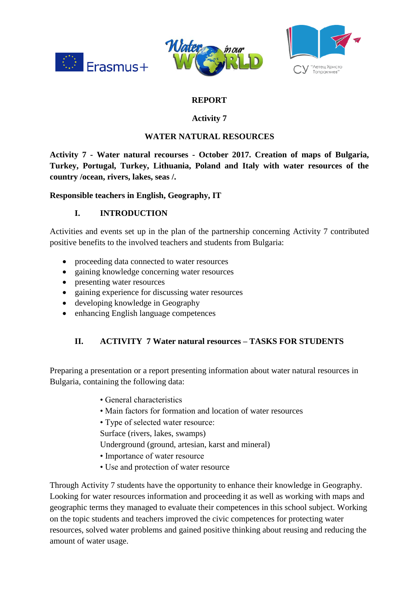





# **REPORT**

### **Activity 7**

### **WATER NATURAL RESOURCES**

**Activity 7 - Water natural recourses - October 2017. Creation of maps of Bulgaria, Turkey, Portugal, Turkey, Lithuania, Poland and Italy with water resources of the country /ocean, rivers, lakes, seas /.** 

**Responsible teachers in English, Geography, IT** 

## **I. INTRODUCTION**

Activities and events set up in the plan of the partnership concerning Activity 7 contributed positive benefits to the involved teachers and students from Bulgaria:

- proceeding data connected to water resources
- gaining knowledge concerning water resources
- presenting water resources
- gaining experience for discussing water resources
- developing knowledge in Geography
- enhancing English language competences

#### **II. ACTIVITY 7 Water natural resources – TASKS FOR STUDENTS**

Preparing a presentation or a report presenting information about water natural resources in Bulgaria, containing the following data:

- General characteristics
- Main factors for formation and location of water resources
- Type of selected water resource:

Surface (rivers, lakes, swamps)

- Underground (ground, artesian, karst and mineral)
- Importance of water resource
- Use and protection of water resource

Through Activity 7 students have the opportunity to enhance their knowledge in Geography. Looking for water resources information and proceeding it as well as working with maps and geographic terms they managed to evaluate their competences in this school subject. Working on the topic students and teachers improved the civic competences for protecting water resources, solved water problems and gained positive thinking about reusing and reducing the amount of water usage.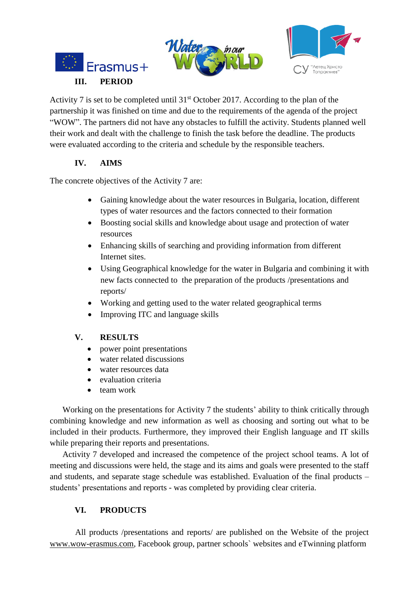



Activity 7 is set to be completed until  $31<sup>st</sup>$  October 2017. According to the plan of the partnership it was finished on time and due to the requirements of the agenda of the project "WOW". The partners did not have any obstacles to fulfill the activity. Students planned well their work and dealt with the challenge to finish the task before the deadline. The products were evaluated according to the criteria and schedule by the responsible teachers.

## **IV. AIMS**

The concrete objectives of the Activity 7 are:

- Gaining knowledge about the water resources in Bulgaria, location, different types of water resources and the factors connected to their formation
- Boosting social skills and knowledge about usage and protection of water resources
- Enhancing skills of searching and providing information from different Internet sites.
- Using Geographical knowledge for the water in Bulgaria and combining it with new facts connected to the preparation of the products /presentations and reports/
- Working and getting used to the water related geographical terms
- Improving ITC and language skills

#### **V. RESULTS**

- power point presentations
- water related discussions
- water resources data
- evaluation criteria
- team work

Working on the presentations for Activity 7 the students' ability to think critically through combining knowledge and new information as well as choosing and sorting out what to be included in their products. Furthermore, they improved their English language and IT skills while preparing their reports and presentations.

Activity 7 developed and increased the competence of the project school teams. A lot of meeting and discussions were held, the stage and its aims and goals were presented to the staff and students, and separate stage schedule was established. Evaluation of the final products – students' presentations and reports - was completed by providing clear criteria.

## **VI. PRODUCTS**

All products /presentations and reports/ are published on the Website of the project [www.wow-erasmus.com,](http://www.wow-erasmus.com/) Facebook group, partner schools` websites and eTwinning platform